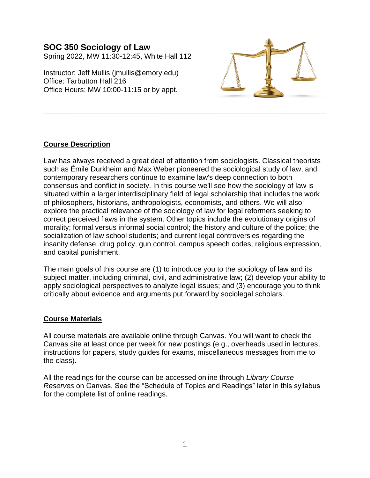# **SOC 350 Sociology of Law** Spring 2022, MW 11:30-12:45, White Hall 112

Instructor: Jeff Mullis [\(jmullis@emory.edu\)](mailto:jmullis@emory.edu) Office: Tarbutton Hall 216 Office Hours: MW 10:00-11:15 or by appt.



# **Course Description**

Law has always received a great deal of attention from sociologists. Classical theorists such as Émile Durkheim and Max Weber pioneered the sociological study of law, and contemporary researchers continue to examine law's deep connection to both consensus and conflict in society. In this course we'll see how the sociology of law is situated within a larger interdisciplinary field of legal scholarship that includes the work of philosophers, historians, anthropologists, economists, and others. We will also explore the practical relevance of the sociology of law for legal reformers seeking to correct perceived flaws in the system. Other topics include the evolutionary origins of morality; formal versus informal social control; the history and culture of the police; the socialization of law school students; and current legal controversies regarding the insanity defense, drug policy, gun control, campus speech codes, religious expression, and capital punishment.

**\_\_\_\_\_\_\_\_\_\_\_\_\_\_\_\_\_\_\_\_\_\_\_\_\_\_\_\_\_\_\_\_\_\_\_\_\_\_\_\_\_\_\_\_\_\_\_\_\_\_\_\_\_\_\_\_\_\_\_\_\_\_\_\_\_\_\_\_\_\_**

The main goals of this course are (1) to introduce you to the sociology of law and its subject matter, including criminal, civil, and administrative law; (2) develop your ability to apply sociological perspectives to analyze legal issues; and (3) encourage you to think critically about evidence and arguments put forward by sociolegal scholars.

# **Course Materials**

All course materials are available online through Canvas. You will want to check the Canvas site at least once per week for new postings (e.g., overheads used in lectures, instructions for papers, study guides for exams, miscellaneous messages from me to the class).

All the readings for the course can be accessed online through *Library Course Reserves* on Canvas. See the "Schedule of Topics and Readings" later in this syllabus for the complete list of online readings.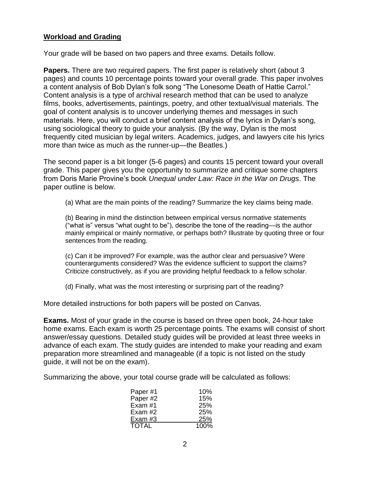## **Workload and Grading**

Your grade will be based on two papers and three exams. Details follow.

**Papers.** There are two required papers. The first paper is relatively short (about 3 pages) and counts 10 percentage points toward your overall grade. This paper involves a content analysis of Bob Dylan's folk song "The Lonesome Death of Hattie Carrol." Content analysis is a type of archival research method that can be used to analyze films, books, advertisements, paintings, poetry, and other textual/visual materials. The goal of content analysis is to uncover underlying themes and messages in such materials. Here, you will conduct a brief content analysis of the lyrics in Dylan's song, using sociological theory to guide your analysis. (By the way, Dylan is the most frequently cited musician by legal writers. Academics, judges, and lawyers cite his lyrics more than twice as much as the runner-up—the Beatles.)

The second paper is a bit longer (5-6 pages) and counts 15 percent toward your overall grade. This paper gives you the opportunity to summarize and critique some chapters from Doris Marie Provine's book *Unequal under Law: Race in the War on Drugs*. The paper outline is below.

(a) What are the main points of the reading? Summarize the key claims being made.

(b) Bearing in mind the distinction between empirical versus normative statements ("what is" versus "what ought to be"), describe the tone of the reading—is the author mainly empirical or mainly normative, or perhaps both? Illustrate by quoting three or four sentences from the reading.

(c) Can it be improved? For example, was the author clear and persuasive? Were counterarguments considered? Was the evidence sufficient to support the claims? Criticize constructively, as if you are providing helpful feedback to a fellow scholar.

(d) Finally, what was the most interesting or surprising part of the reading?

More detailed instructions for both papers will be posted on Canvas.

**Exams.** Most of your grade in the course is based on three open book, 24-hour take home exams. Each exam is worth 25 percentage points. The exams will consist of short answer/essay questions. Detailed study guides will be provided at least three weeks in advance of each exam. The study guides are intended to make your reading and exam preparation more streamlined and manageable (if a topic is not listed on the study guide, it will not be on the exam).

Summarizing the above, your total course grade will be calculated as follows:

| Paper#1      | 10%  |
|--------------|------|
| Paper #2     | 15%  |
| Exam $#1$    | 25%  |
| Exam #2      | 25%  |
| Exam #3      | 25%  |
| <b>TOTAL</b> | 100% |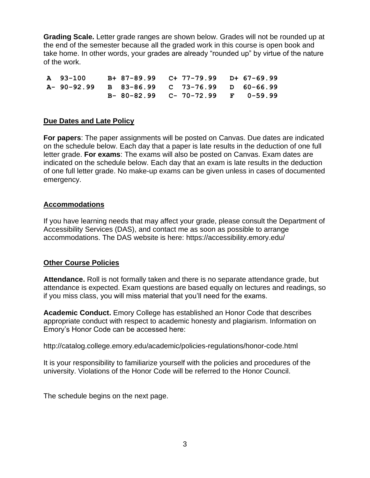**Grading Scale.** Letter grade ranges are shown below. Grades will not be rounded up at the end of the semester because all the graded work in this course is open book and take home. In other words, your grades are already "rounded up" by virtue of the nature of the work.

**A 93-100 B+ 87-89.99 C+ 77-79.99 D+ 67-69.99 A- 90-92.99 B 83-86.99 C 73-76.99 D 60-66.99 B- 80-82.99 C- 70-72.99 F 0-59.99**

## **Due Dates and Late Policy**

**For papers**: The paper assignments will be posted on Canvas. Due dates are indicated on the schedule below. Each day that a paper is late results in the deduction of one full letter grade. **For exams**: The exams will also be posted on Canvas. Exam dates are indicated on the schedule below. Each day that an exam is late results in the deduction of one full letter grade. No make-up exams can be given unless in cases of documented emergency.

## **Accommodations**

If you have learning needs that may affect your grade, please consult the Department of Accessibility Services (DAS), and contact me as soon as possible to arrange accommodations. The DAS website is here:<https://accessibility.emory.edu/>

## **Other Course Policies**

**Attendance.** Roll is not formally taken and there is no separate attendance grade, but attendance is expected. Exam questions are based equally on lectures and readings, so if you miss class, you will miss material that you'll need for the exams.

**Academic Conduct.** Emory College has established an Honor Code that describes appropriate conduct with respect to academic honesty and plagiarism. Information on Emory's Honor Code can be accessed here:

<http://catalog.college.emory.edu/academic/policies-regulations/honor-code.html>

It is your responsibility to familiarize yourself with the policies and procedures of the university. Violations of the Honor Code will be referred to the Honor Council.

The schedule begins on the next page.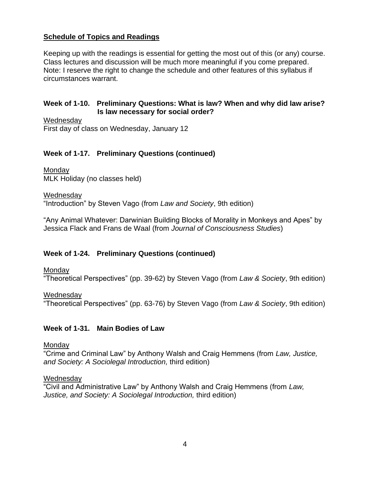# **Schedule of Topics and Readings**

Keeping up with the readings is essential for getting the most out of this (or any) course. Class lectures and discussion will be much more meaningful if you come prepared. Note: I reserve the right to change the schedule and other features of this syllabus if circumstances warrant.

## **Week of 1-10. Preliminary Questions: What is law? When and why did law arise? Is law necessary for social order?**

Wednesday First day of class on Wednesday, January 12

## **Week of 1-17. Preliminary Questions (continued)**

Monday MLK Holiday (no classes held)

Wednesday "Introduction" by Steven Vago (from *Law and Society*, 9th edition)

"Any Animal Whatever: Darwinian Building Blocks of Morality in Monkeys and Apes" by Jessica Flack and Frans de Waal (from *Journal of Consciousness Studies*)

# **Week of 1-24. Preliminary Questions (continued)**

### Monday

"Theoretical Perspectives" (pp. 39-62) by Steven Vago (from *Law & Society*, 9th edition)

### Wednesday

"Theoretical Perspectives" (pp. 63-76) by Steven Vago (from *Law & Society*, 9th edition)

## **Week of 1-31. Main Bodies of Law**

### **Monday**

"Crime and Criminal Law" by Anthony Walsh and Craig Hemmens (from *Law, Justice, and Society: A Sociolegal Introduction,* third edition)

## Wednesday

"Civil and Administrative Law" by Anthony Walsh and Craig Hemmens (from *Law, Justice, and Society: A Sociolegal Introduction,* third edition)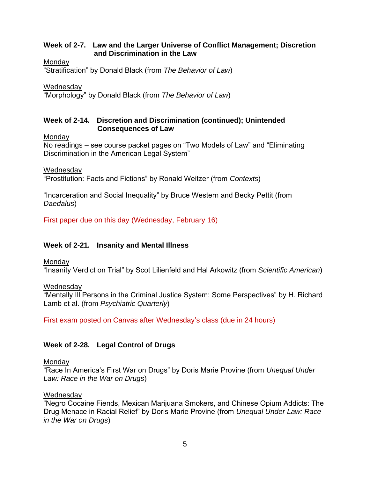## **Week of 2-7. Law and the Larger Universe of Conflict Management; Discretion and Discrimination in the Law**

**Monday** 

"Stratification" by Donald Black (from *The Behavior of Law*)

**Wednesday** 

"Morphology" by Donald Black (from *The Behavior of Law*)

## **Week of 2-14. Discretion and Discrimination (continued); Unintended Consequences of Law**

**Mondav** 

No readings – see course packet pages on "Two Models of Law" and "Eliminating Discrimination in the American Legal System"

Wednesday

"Prostitution: Facts and Fictions" by Ronald Weitzer (from *Contexts*)

"Incarceration and Social Inequality" by Bruce Western and Becky Pettit (from *Daedalus*)

First paper due on this day (Wednesday, February 16)

# **Week of 2-21. Insanity and Mental Illness**

**Monday** 

"Insanity Verdict on Trial" by Scot Lilienfeld and Hal Arkowitz (from *Scientific American*)

**Wednesday** 

"Mentally Ill Persons in the Criminal Justice System: Some Perspectives" by H. Richard Lamb et al. (from *Psychiatric Quarterly*)

First exam posted on Canvas after Wednesday's class (due in 24 hours)

# **Week of 2-28. Legal Control of Drugs**

**Monday** 

"Race In America's First War on Drugs" by Doris Marie Provine (from *Unequal Under Law: Race in the War on Drugs*)

## **Wednesday**

"Negro Cocaine Fiends, Mexican Marijuana Smokers, and Chinese Opium Addicts: The Drug Menace in Racial Relief" by Doris Marie Provine (from *Unequal Under Law: Race in the War on Drugs*)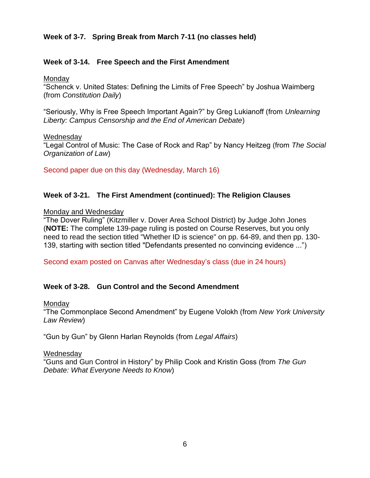# **Week of 3-7. Spring Break from March 7-11 (no classes held)**

## **Week of 3-14. Free Speech and the First Amendment**

Monday

"Schenck v. United States: Defining the Limits of Free Speech" by Joshua Waimberg (from *Constitution Daily*)

"Seriously, Why is Free Speech Important Again?" by Greg Lukianoff (from *Unlearning Liberty: Campus Censorship and the End of American Debate*)

**Wednesday** "Legal Control of Music: The Case of Rock and Rap" by Nancy Heitzeg (from *The Social Organization of Law*)

Second paper due on this day (Wednesday, March 16)

## **Week of 3-21. The First Amendment (continued): The Religion Clauses**

### Monday and Wednesday

"The Dover Ruling" (Kitzmiller v. Dover Area School District) by Judge John Jones (**NOTE:** The complete 139-page ruling is posted on Course Reserves, but you only need to read the section titled "Whether ID is science" on pp. 64-89, and then pp. 130- 139, starting with section titled "Defendants presented no convincing evidence ...")

Second exam posted on Canvas after Wednesday's class (due in 24 hours)

## **Week of 3-28. Gun Control and the Second Amendment**

### Monday

"The Commonplace Second Amendment" by Eugene Volokh (from *New York University Law Review*)

"Gun by Gun" by Glenn Harlan Reynolds (from *Legal Affairs*)

### Wednesday

"Guns and Gun Control in History" by Philip Cook and Kristin Goss (from *The Gun Debate: What Everyone Needs to Know*)